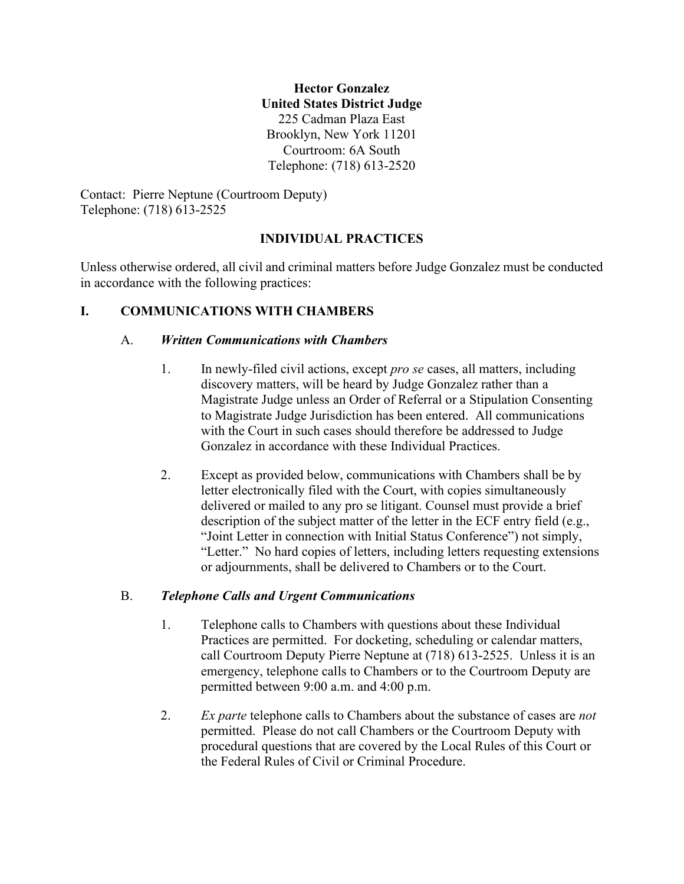**Hector Gonzalez United States District Judge** 225 Cadman Plaza East Brooklyn, New York 11201 Courtroom: 6A South Telephone: (718) 613-2520

Contact: Pierre Neptune (Courtroom Deputy) Telephone: (718) 613-2525

## **INDIVIDUAL PRACTICES**

Unless otherwise ordered, all civil and criminal matters before Judge Gonzalez must be conducted in accordance with the following practices:

# **I. COMMUNICATIONS WITH CHAMBERS**

### A. *Written Communications with Chambers*

- 1. In newly-filed civil actions, except *pro se* cases, all matters, including discovery matters, will be heard by Judge Gonzalez rather than a Magistrate Judge unless an Order of Referral or a Stipulation Consenting to Magistrate Judge Jurisdiction has been entered. All communications with the Court in such cases should therefore be addressed to Judge Gonzalez in accordance with these Individual Practices.
- 2. Except as provided below, communications with Chambers shall be by letter electronically filed with the Court, with copies simultaneously delivered or mailed to any pro se litigant. Counsel must provide a brief description of the subject matter of the letter in the ECF entry field (e.g., "Joint Letter in connection with Initial Status Conference") not simply, "Letter." No hard copies of letters, including letters requesting extensions or adjournments, shall be delivered to Chambers or to the Court.

### B. *Telephone Calls and Urgent Communications*

- 1. Telephone calls to Chambers with questions about these Individual Practices are permitted. For docketing, scheduling or calendar matters, call Courtroom Deputy Pierre Neptune at (718) 613-2525. Unless it is an emergency, telephone calls to Chambers or to the Courtroom Deputy are permitted between 9:00 a.m. and 4:00 p.m.
- 2. *Ex parte* telephone calls to Chambers about the substance of cases are *not* permitted. Please do not call Chambers or the Courtroom Deputy with procedural questions that are covered by the Local Rules of this Court or the Federal Rules of Civil or Criminal Procedure.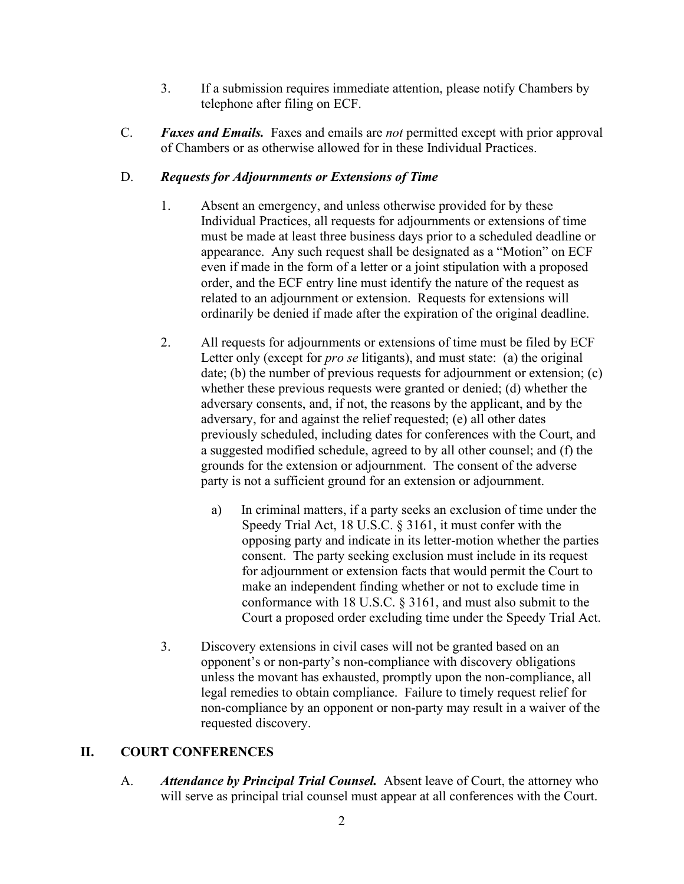- 3. If a submission requires immediate attention, please notify Chambers by telephone after filing on ECF.
- C. *Faxes and Emails.* Faxes and emails are *not* permitted except with prior approval of Chambers or as otherwise allowed for in these Individual Practices.

## D. *Requests for Adjournments or Extensions of Time*

- 1. Absent an emergency, and unless otherwise provided for by these Individual Practices, all requests for adjournments or extensions of time must be made at least three business days prior to a scheduled deadline or appearance. Any such request shall be designated as a "Motion" on ECF even if made in the form of a letter or a joint stipulation with a proposed order, and the ECF entry line must identify the nature of the request as related to an adjournment or extension. Requests for extensions will ordinarily be denied if made after the expiration of the original deadline.
- 2. All requests for adjournments or extensions of time must be filed by ECF Letter only (except for *pro se* litigants), and must state: (a) the original date; (b) the number of previous requests for adjournment or extension; (c) whether these previous requests were granted or denied; (d) whether the adversary consents, and, if not, the reasons by the applicant, and by the adversary, for and against the relief requested; (e) all other dates previously scheduled, including dates for conferences with the Court, and a suggested modified schedule, agreed to by all other counsel; and (f) the grounds for the extension or adjournment. The consent of the adverse party is not a sufficient ground for an extension or adjournment.
	- a) In criminal matters, if a party seeks an exclusion of time under the Speedy Trial Act, 18 U.S.C. § 3161, it must confer with the opposing party and indicate in its letter-motion whether the parties consent. The party seeking exclusion must include in its request for adjournment or extension facts that would permit the Court to make an independent finding whether or not to exclude time in conformance with 18 U.S.C. § 3161, and must also submit to the Court a proposed order excluding time under the Speedy Trial Act.
- 3. Discovery extensions in civil cases will not be granted based on an opponent's or non-party's non-compliance with discovery obligations unless the movant has exhausted, promptly upon the non-compliance, all legal remedies to obtain compliance. Failure to timely request relief for non-compliance by an opponent or non-party may result in a waiver of the requested discovery.

# **II. COURT CONFERENCES**

A. *Attendance by Principal Trial Counsel.* Absent leave of Court, the attorney who will serve as principal trial counsel must appear at all conferences with the Court.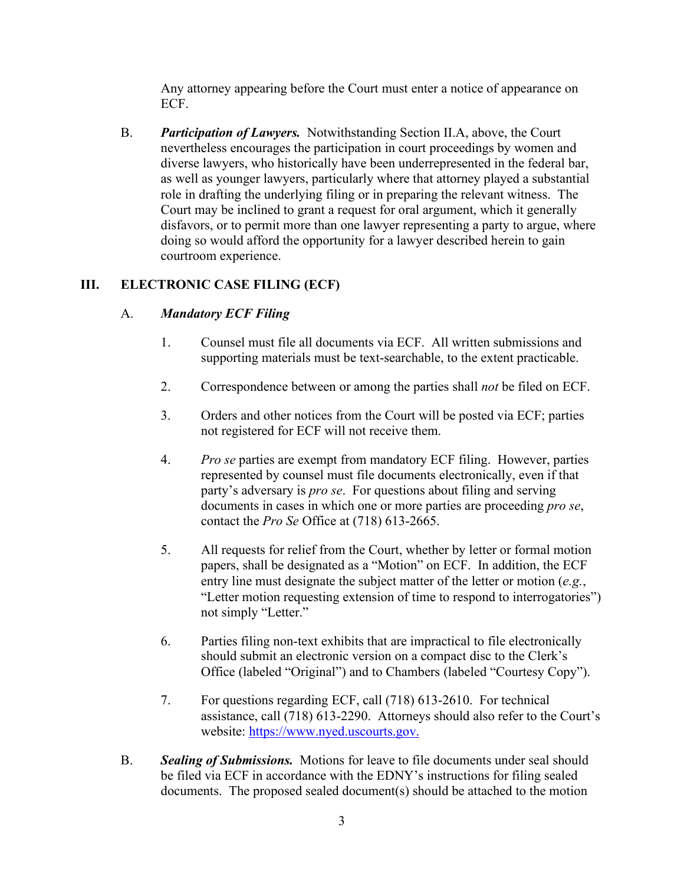Any attorney appearing before the Court must enter a notice of appearance on ECF.

B. *Participation of Lawyers.* Notwithstanding Section II.A, above, the Court nevertheless encourages the participation in court proceedings by women and diverse lawyers, who historically have been underrepresented in the federal bar, as well as younger lawyers, particularly where that attorney played a substantial role in drafting the underlying filing or in preparing the relevant witness. The Court may be inclined to grant a request for oral argument, which it generally disfavors, or to permit more than one lawyer representing a party to argue, where doing so would afford the opportunity for a lawyer described herein to gain courtroom experience.

### **III. ELECTRONIC CASE FILING (ECF)**

#### A. *Mandatory ECF Filing*

- 1. Counsel must file all documents via ECF. All written submissions and supporting materials must be text-searchable, to the extent practicable.
- 2. Correspondence between or among the parties shall *not* be filed on ECF.
- 3. Orders and other notices from the Court will be posted via ECF; parties not registered for ECF will not receive them.
- 4. *Pro se* parties are exempt from mandatory ECF filing. However, parties represented by counsel must file documents electronically, even if that party's adversary is *pro se*. For questions about filing and serving documents in cases in which one or more parties are proceeding *pro se*, contact the *Pro Se* Office at (718) 613-2665.
- 5. All requests for relief from the Court, whether by letter or formal motion papers, shall be designated as a "Motion" on ECF. In addition, the ECF entry line must designate the subject matter of the letter or motion (*e.g.*, "Letter motion requesting extension of time to respond to interrogatories") not simply "Letter."
- 6. Parties filing non-text exhibits that are impractical to file electronically should submit an electronic version on a compact disc to the Clerk's Office (labeled "Original") and to Chambers (labeled "Courtesy Copy").
- 7. For questions regarding ECF, call (718) 613-2610. For technical assistance, call (718) 613-2290. Attorneys should also refer to the Court's website: [https://www.nyed.uscourts.gov.](https://www.nyed.uscourts.gov/)
- B. *Sealing of Submissions.* Motions for leave to file documents under seal should be filed via ECF in accordance with the EDNY's instructions for filing sealed documents. The proposed sealed document(s) should be attached to the motion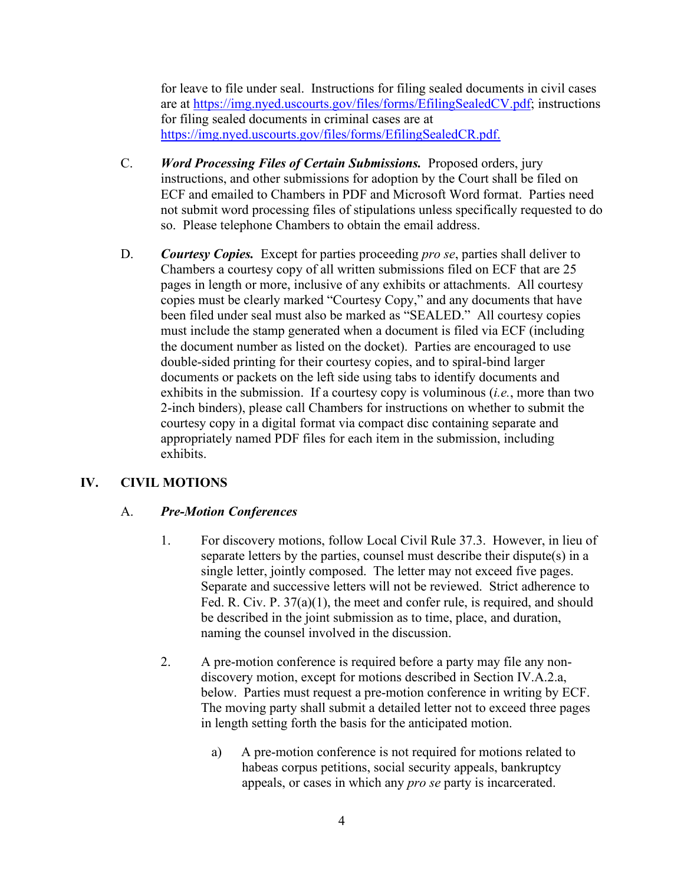for leave to file under seal. Instructions for filing sealed documents in civil cases are at [https://img.nyed.uscourts.gov/files/forms/EfilingSealedCV.pdf;](https://img.nyed.uscourts.gov/files/forms/EfilingSealedCV.pdf) instructions for filing sealed documents in criminal cases are at [https://img.nyed.uscourts.gov/files/forms/EfilingSealedCR.pdf.](https://img.nyed.uscourts.gov/files/forms/EfilingSealedCR.pdf)

- C. *Word Processing Files of Certain Submissions.* Proposed orders, jury instructions, and other submissions for adoption by the Court shall be filed on ECF and emailed to Chambers in PDF and Microsoft Word format. Parties need not submit word processing files of stipulations unless specifically requested to do so. Please telephone Chambers to obtain the email address.
- D. *Courtesy Copies.* Except for parties proceeding *pro se*, parties shall deliver to Chambers a courtesy copy of all written submissions filed on ECF that are 25 pages in length or more, inclusive of any exhibits or attachments. All courtesy copies must be clearly marked "Courtesy Copy," and any documents that have been filed under seal must also be marked as "SEALED." All courtesy copies must include the stamp generated when a document is filed via ECF (including the document number as listed on the docket). Parties are encouraged to use double-sided printing for their courtesy copies, and to spiral-bind larger documents or packets on the left side using tabs to identify documents and exhibits in the submission. If a courtesy copy is voluminous (*i.e.*, more than two 2-inch binders), please call Chambers for instructions on whether to submit the courtesy copy in a digital format via compact disc containing separate and appropriately named PDF files for each item in the submission, including exhibits.

# **IV. CIVIL MOTIONS**

### A. *Pre-Motion Conferences*

- 1. For discovery motions, follow Local Civil Rule 37.3. However, in lieu of separate letters by the parties, counsel must describe their dispute(s) in a single letter, jointly composed. The letter may not exceed five pages. Separate and successive letters will not be reviewed. Strict adherence to Fed. R. Civ. P. 37(a)(1), the meet and confer rule, is required, and should be described in the joint submission as to time, place, and duration, naming the counsel involved in the discussion.
- 2. A pre-motion conference is required before a party may file any nondiscovery motion, except for motions described in Section IV.A.2.a, below. Parties must request a pre-motion conference in writing by ECF. The moving party shall submit a detailed letter not to exceed three pages in length setting forth the basis for the anticipated motion.
	- a) A pre-motion conference is not required for motions related to habeas corpus petitions, social security appeals, bankruptcy appeals, or cases in which any *pro se* party is incarcerated.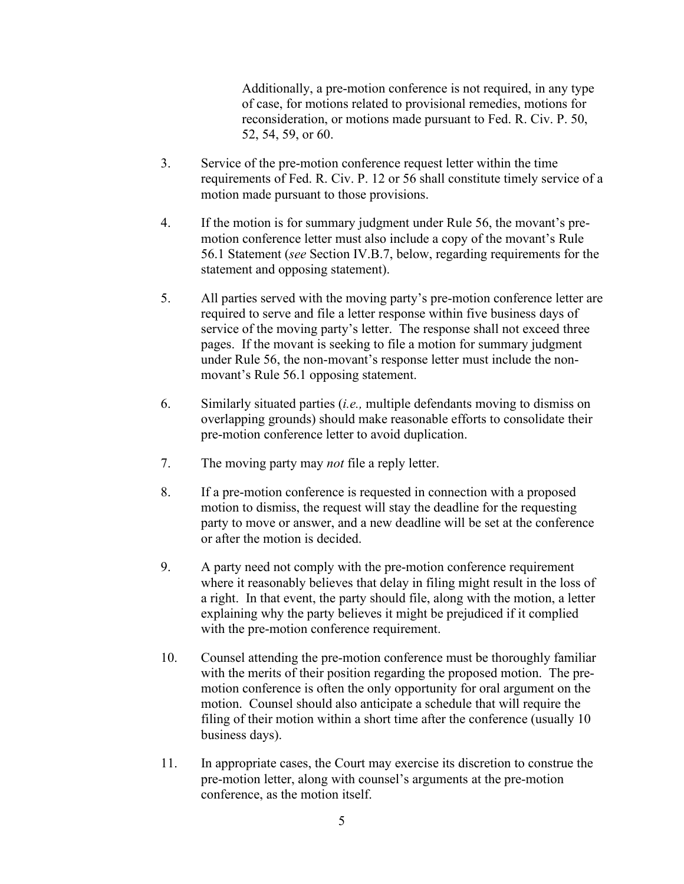Additionally, a pre-motion conference is not required, in any type of case, for motions related to provisional remedies, motions for reconsideration, or motions made pursuant to Fed. R. Civ. P. 50, 52, 54, 59, or 60.

- 3. Service of the pre-motion conference request letter within the time requirements of Fed. R. Civ. P. 12 or 56 shall constitute timely service of a motion made pursuant to those provisions.
- 4. If the motion is for summary judgment under Rule 56, the movant's premotion conference letter must also include a copy of the movant's Rule 56.1 Statement (*see* Section IV.B.7, below, regarding requirements for the statement and opposing statement).
- 5. All parties served with the moving party's pre-motion conference letter are required to serve and file a letter response within five business days of service of the moving party's letter. The response shall not exceed three pages. If the movant is seeking to file a motion for summary judgment under Rule 56, the non-movant's response letter must include the nonmovant's Rule 56.1 opposing statement.
- 6. Similarly situated parties (*i.e.,* multiple defendants moving to dismiss on overlapping grounds) should make reasonable efforts to consolidate their pre-motion conference letter to avoid duplication.
- 7. The moving party may *not* file a reply letter.
- 8. If a pre-motion conference is requested in connection with a proposed motion to dismiss, the request will stay the deadline for the requesting party to move or answer, and a new deadline will be set at the conference or after the motion is decided.
- 9. A party need not comply with the pre-motion conference requirement where it reasonably believes that delay in filing might result in the loss of a right. In that event, the party should file, along with the motion, a letter explaining why the party believes it might be prejudiced if it complied with the pre-motion conference requirement.
- 10. Counsel attending the pre-motion conference must be thoroughly familiar with the merits of their position regarding the proposed motion. The premotion conference is often the only opportunity for oral argument on the motion. Counsel should also anticipate a schedule that will require the filing of their motion within a short time after the conference (usually 10 business days).
- 11. In appropriate cases, the Court may exercise its discretion to construe the pre-motion letter, along with counsel's arguments at the pre-motion conference, as the motion itself.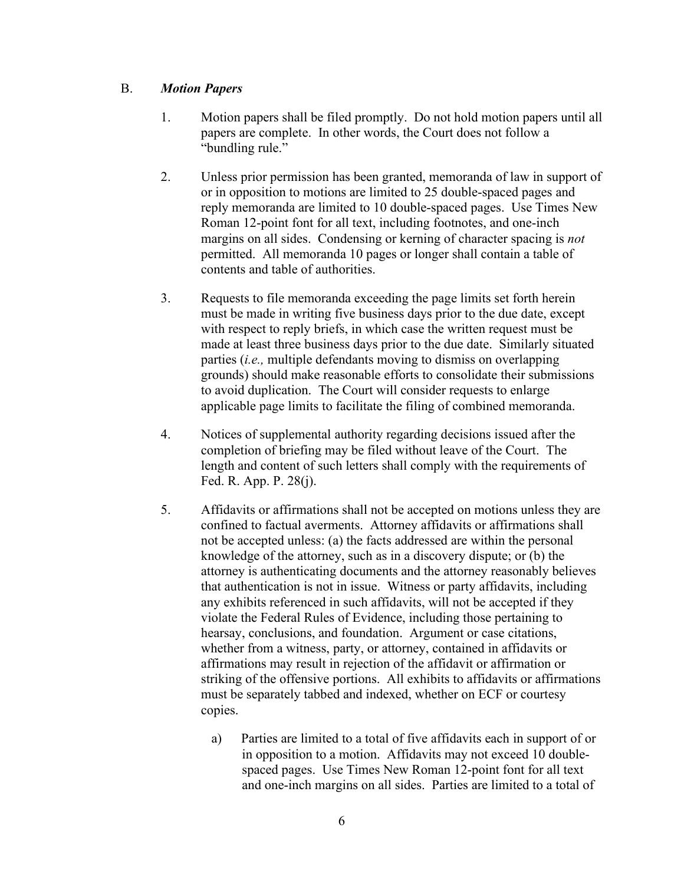#### B. *Motion Papers*

- 1. Motion papers shall be filed promptly. Do not hold motion papers until all papers are complete. In other words, the Court does not follow a "bundling rule."
- 2. Unless prior permission has been granted, memoranda of law in support of or in opposition to motions are limited to 25 double-spaced pages and reply memoranda are limited to 10 double-spaced pages. Use Times New Roman 12-point font for all text, including footnotes, and one-inch margins on all sides. Condensing or kerning of character spacing is *not* permitted. All memoranda 10 pages or longer shall contain a table of contents and table of authorities.
- 3. Requests to file memoranda exceeding the page limits set forth herein must be made in writing five business days prior to the due date, except with respect to reply briefs, in which case the written request must be made at least three business days prior to the due date. Similarly situated parties (*i.e.,* multiple defendants moving to dismiss on overlapping grounds) should make reasonable efforts to consolidate their submissions to avoid duplication. The Court will consider requests to enlarge applicable page limits to facilitate the filing of combined memoranda.
- 4. Notices of supplemental authority regarding decisions issued after the completion of briefing may be filed without leave of the Court. The length and content of such letters shall comply with the requirements of Fed. R. App. P. 28(j).
- 5. Affidavits or affirmations shall not be accepted on motions unless they are confined to factual averments. Attorney affidavits or affirmations shall not be accepted unless: (a) the facts addressed are within the personal knowledge of the attorney, such as in a discovery dispute; or (b) the attorney is authenticating documents and the attorney reasonably believes that authentication is not in issue. Witness or party affidavits, including any exhibits referenced in such affidavits, will not be accepted if they violate the Federal Rules of Evidence, including those pertaining to hearsay, conclusions, and foundation. Argument or case citations, whether from a witness, party, or attorney, contained in affidavits or affirmations may result in rejection of the affidavit or affirmation or striking of the offensive portions. All exhibits to affidavits or affirmations must be separately tabbed and indexed, whether on ECF or courtesy copies.
	- a) Parties are limited to a total of five affidavits each in support of or in opposition to a motion. Affidavits may not exceed 10 doublespaced pages. Use Times New Roman 12-point font for all text and one-inch margins on all sides. Parties are limited to a total of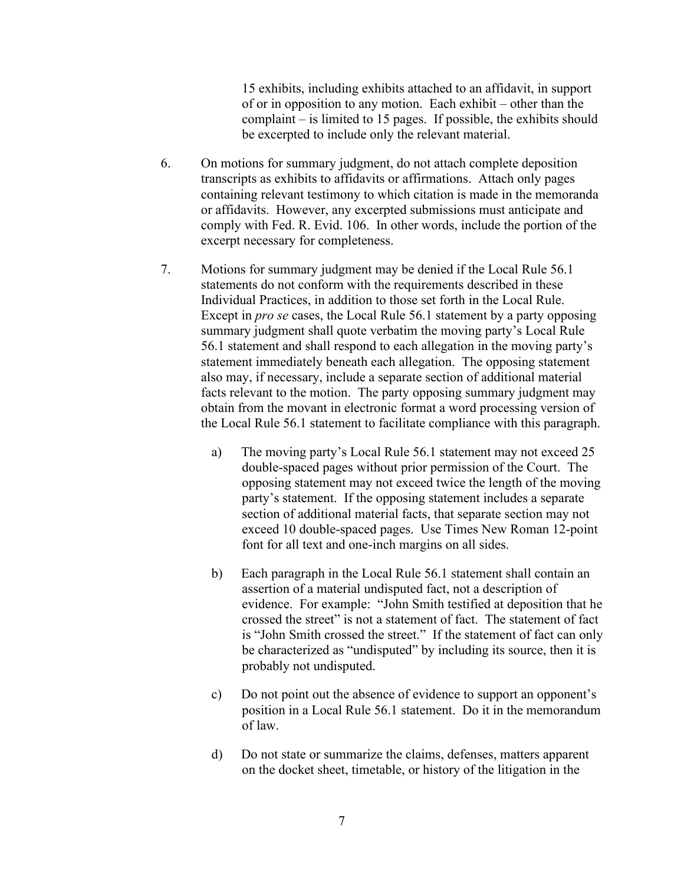15 exhibits, including exhibits attached to an affidavit, in support of or in opposition to any motion. Each exhibit – other than the complaint – is limited to 15 pages. If possible, the exhibits should be excerpted to include only the relevant material.

- 6. On motions for summary judgment, do not attach complete deposition transcripts as exhibits to affidavits or affirmations. Attach only pages containing relevant testimony to which citation is made in the memoranda or affidavits. However, any excerpted submissions must anticipate and comply with Fed. R. Evid. 106. In other words, include the portion of the excerpt necessary for completeness.
- 7. Motions for summary judgment may be denied if the Local Rule 56.1 statements do not conform with the requirements described in these Individual Practices, in addition to those set forth in the Local Rule. Except in *pro se* cases, the Local Rule 56.1 statement by a party opposing summary judgment shall quote verbatim the moving party's Local Rule 56.1 statement and shall respond to each allegation in the moving party's statement immediately beneath each allegation. The opposing statement also may, if necessary, include a separate section of additional material facts relevant to the motion. The party opposing summary judgment may obtain from the movant in electronic format a word processing version of the Local Rule 56.1 statement to facilitate compliance with this paragraph.
	- a) The moving party's Local Rule 56.1 statement may not exceed 25 double-spaced pages without prior permission of the Court. The opposing statement may not exceed twice the length of the moving party's statement. If the opposing statement includes a separate section of additional material facts, that separate section may not exceed 10 double-spaced pages. Use Times New Roman 12-point font for all text and one-inch margins on all sides.
	- b) Each paragraph in the Local Rule 56.1 statement shall contain an assertion of a material undisputed fact, not a description of evidence. For example: "John Smith testified at deposition that he crossed the street" is not a statement of fact. The statement of fact is "John Smith crossed the street." If the statement of fact can only be characterized as "undisputed" by including its source, then it is probably not undisputed.
	- c) Do not point out the absence of evidence to support an opponent's position in a Local Rule 56.1 statement. Do it in the memorandum of law.
	- d) Do not state or summarize the claims, defenses, matters apparent on the docket sheet, timetable, or history of the litigation in the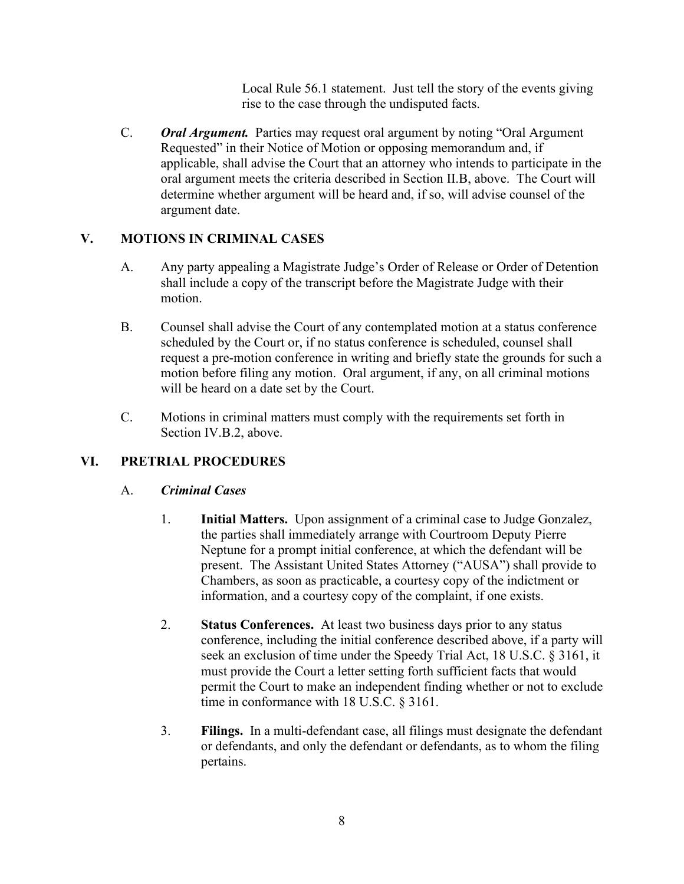Local Rule 56.1 statement. Just tell the story of the events giving rise to the case through the undisputed facts.

C. *Oral Argument.* Parties may request oral argument by noting "Oral Argument Requested" in their Notice of Motion or opposing memorandum and, if applicable, shall advise the Court that an attorney who intends to participate in the oral argument meets the criteria described in Section II.B, above. The Court will determine whether argument will be heard and, if so, will advise counsel of the argument date.

### **V. MOTIONS IN CRIMINAL CASES**

- A. Any party appealing a Magistrate Judge's Order of Release or Order of Detention shall include a copy of the transcript before the Magistrate Judge with their motion.
- B. Counsel shall advise the Court of any contemplated motion at a status conference scheduled by the Court or, if no status conference is scheduled, counsel shall request a pre-motion conference in writing and briefly state the grounds for such a motion before filing any motion. Oral argument, if any, on all criminal motions will be heard on a date set by the Court.
- C. Motions in criminal matters must comply with the requirements set forth in Section IV.B.2, above.

### **VI. PRETRIAL PROCEDURES**

### A. *Criminal Cases*

- 1. **Initial Matters.** Upon assignment of a criminal case to Judge Gonzalez, the parties shall immediately arrange with Courtroom Deputy Pierre Neptune for a prompt initial conference, at which the defendant will be present. The Assistant United States Attorney ("AUSA") shall provide to Chambers, as soon as practicable, a courtesy copy of the indictment or information, and a courtesy copy of the complaint, if one exists.
- 2. **Status Conferences.** At least two business days prior to any status conference, including the initial conference described above, if a party will seek an exclusion of time under the Speedy Trial Act, 18 U.S.C. § 3161, it must provide the Court a letter setting forth sufficient facts that would permit the Court to make an independent finding whether or not to exclude time in conformance with 18 U.S.C. § 3161.
- 3. **Filings.** In a multi-defendant case, all filings must designate the defendant or defendants, and only the defendant or defendants, as to whom the filing pertains.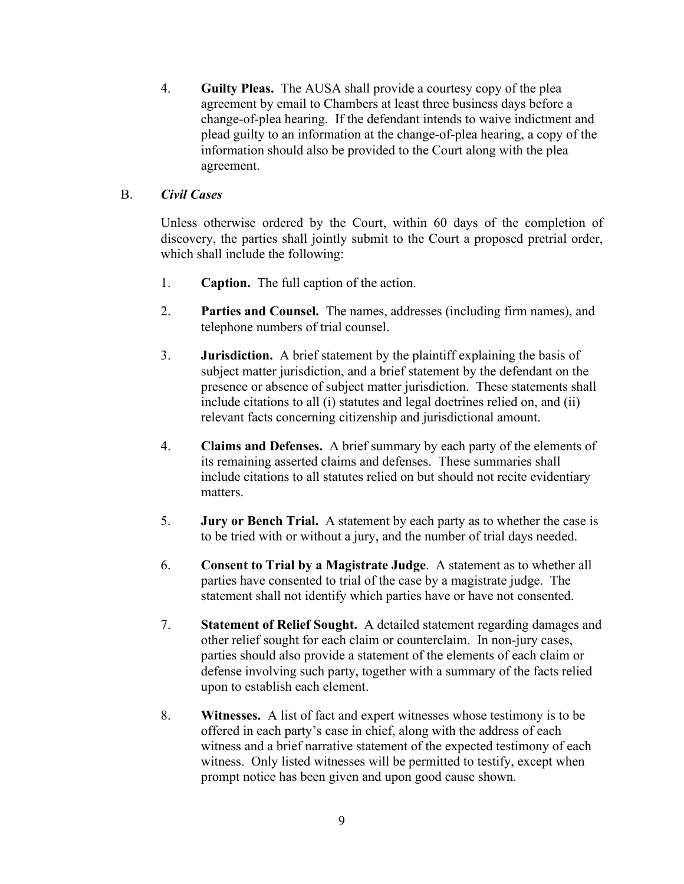4. **Guilty Pleas.** The AUSA shall provide a courtesy copy of the plea agreement by email to Chambers at least three business days before a change-of-plea hearing. If the defendant intends to waive indictment and plead guilty to an information at the change-of-plea hearing, a copy of the information should also be provided to the Court along with the plea agreement.

#### B. *Civil Cases*

Unless otherwise ordered by the Court, within 60 days of the completion of discovery, the parties shall jointly submit to the Court a proposed pretrial order, which shall include the following:

- 1. **Caption.** The full caption of the action.
- 2. **Parties and Counsel.** The names, addresses (including firm names), and telephone numbers of trial counsel.
- 3. **Jurisdiction.** A brief statement by the plaintiff explaining the basis of subject matter jurisdiction, and a brief statement by the defendant on the presence or absence of subject matter jurisdiction. These statements shall include citations to all (i) statutes and legal doctrines relied on, and (ii) relevant facts concerning citizenship and jurisdictional amount.
- 4. **Claims and Defenses.** A brief summary by each party of the elements of its remaining asserted claims and defenses. These summaries shall include citations to all statutes relied on but should not recite evidentiary matters.
- 5. **Jury or Bench Trial.** A statement by each party as to whether the case is to be tried with or without a jury, and the number of trial days needed.
- 6. **Consent to Trial by a Magistrate Judge**. A statement as to whether all parties have consented to trial of the case by a magistrate judge. The statement shall not identify which parties have or have not consented.
- 7. **Statement of Relief Sought.** A detailed statement regarding damages and other relief sought for each claim or counterclaim. In non-jury cases, parties should also provide a statement of the elements of each claim or defense involving such party, together with a summary of the facts relied upon to establish each element.
- 8. **Witnesses.** A list of fact and expert witnesses whose testimony is to be offered in each party's case in chief, along with the address of each witness and a brief narrative statement of the expected testimony of each witness. Only listed witnesses will be permitted to testify, except when prompt notice has been given and upon good cause shown.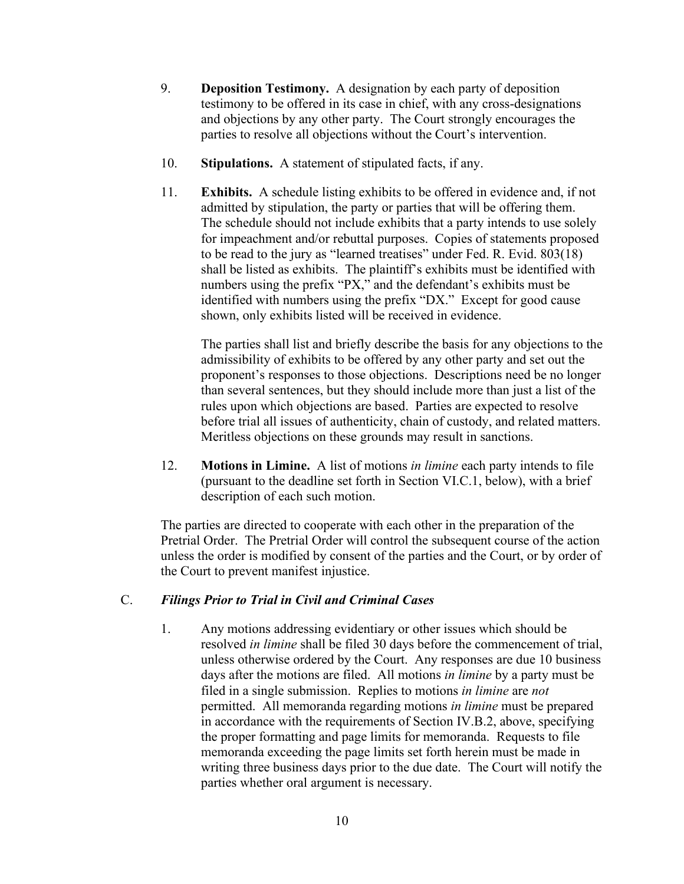- 9. **Deposition Testimony.** A designation by each party of deposition testimony to be offered in its case in chief, with any cross-designations and objections by any other party. The Court strongly encourages the parties to resolve all objections without the Court's intervention.
- 10. **Stipulations.** A statement of stipulated facts, if any.
- 11. **Exhibits.** A schedule listing exhibits to be offered in evidence and, if not admitted by stipulation, the party or parties that will be offering them. The schedule should not include exhibits that a party intends to use solely for impeachment and/or rebuttal purposes. Copies of statements proposed to be read to the jury as "learned treatises" under Fed. R. Evid. 803(18) shall be listed as exhibits. The plaintiff's exhibits must be identified with numbers using the prefix "PX," and the defendant's exhibits must be identified with numbers using the prefix "DX." Except for good cause shown, only exhibits listed will be received in evidence.

The parties shall list and briefly describe the basis for any objections to the admissibility of exhibits to be offered by any other party and set out the proponent's responses to those objections. Descriptions need be no longer than several sentences, but they should include more than just a list of the rules upon which objections are based. Parties are expected to resolve before trial all issues of authenticity, chain of custody, and related matters. Meritless objections on these grounds may result in sanctions.

12. **Motions in Limine.** A list of motions *in limine* each party intends to file (pursuant to the deadline set forth in Section VI.C.1, below), with a brief description of each such motion.

The parties are directed to cooperate with each other in the preparation of the Pretrial Order. The Pretrial Order will control the subsequent course of the action unless the order is modified by consent of the parties and the Court, or by order of the Court to prevent manifest injustice.

### C. *Filings Prior to Trial in Civil and Criminal Cases*

1. Any motions addressing evidentiary or other issues which should be resolved *in limine* shall be filed 30 days before the commencement of trial, unless otherwise ordered by the Court. Any responses are due 10 business days after the motions are filed. All motions *in limine* by a party must be filed in a single submission. Replies to motions *in limine* are *not* permitted. All memoranda regarding motions *in limine* must be prepared in accordance with the requirements of Section IV.B.2, above, specifying the proper formatting and page limits for memoranda. Requests to file memoranda exceeding the page limits set forth herein must be made in writing three business days prior to the due date. The Court will notify the parties whether oral argument is necessary.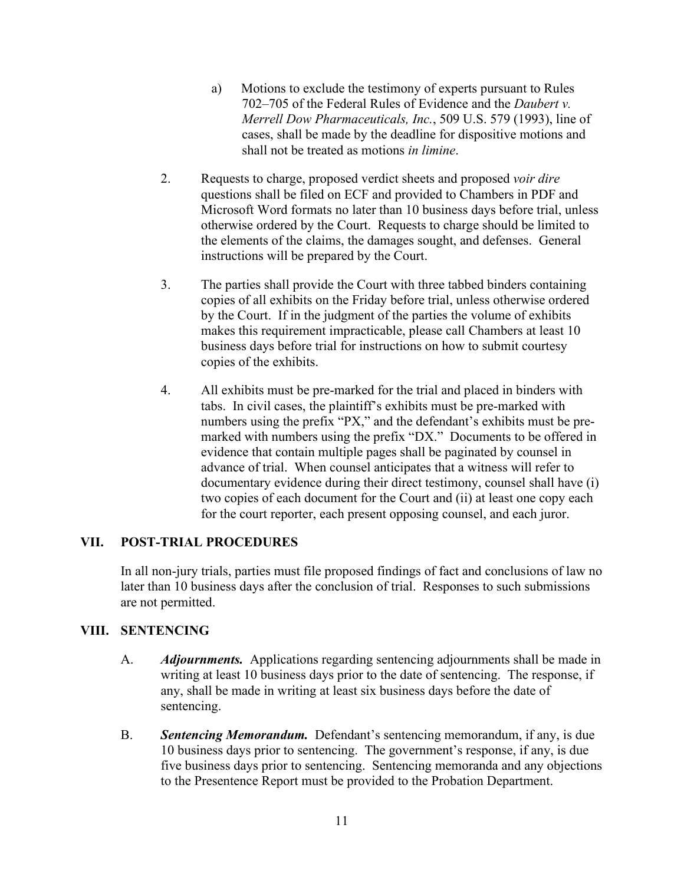- a) Motions to exclude the testimony of experts pursuant to Rules 702–705 of the Federal Rules of Evidence and the *Daubert v. Merrell Dow Pharmaceuticals, Inc.*, 509 U.S. 579 (1993), line of cases, shall be made by the deadline for dispositive motions and shall not be treated as motions *in limine*.
- 2. Requests to charge, proposed verdict sheets and proposed *voir dire*  questions shall be filed on ECF and provided to Chambers in PDF and Microsoft Word formats no later than 10 business days before trial, unless otherwise ordered by the Court. Requests to charge should be limited to the elements of the claims, the damages sought, and defenses. General instructions will be prepared by the Court.
- 3. The parties shall provide the Court with three tabbed binders containing copies of all exhibits on the Friday before trial, unless otherwise ordered by the Court. If in the judgment of the parties the volume of exhibits makes this requirement impracticable, please call Chambers at least 10 business days before trial for instructions on how to submit courtesy copies of the exhibits.
- 4. All exhibits must be pre-marked for the trial and placed in binders with tabs. In civil cases, the plaintiff's exhibits must be pre-marked with numbers using the prefix "PX," and the defendant's exhibits must be premarked with numbers using the prefix "DX." Documents to be offered in evidence that contain multiple pages shall be paginated by counsel in advance of trial. When counsel anticipates that a witness will refer to documentary evidence during their direct testimony, counsel shall have (i) two copies of each document for the Court and (ii) at least one copy each for the court reporter, each present opposing counsel, and each juror.

### **VII. POST-TRIAL PROCEDURES**

In all non-jury trials, parties must file proposed findings of fact and conclusions of law no later than 10 business days after the conclusion of trial. Responses to such submissions are not permitted.

### **VIII. SENTENCING**

- A. *Adjournments.* Applications regarding sentencing adjournments shall be made in writing at least 10 business days prior to the date of sentencing. The response, if any, shall be made in writing at least six business days before the date of sentencing.
- B. *Sentencing Memorandum.* Defendant's sentencing memorandum, if any, is due 10 business days prior to sentencing. The government's response, if any, is due five business days prior to sentencing. Sentencing memoranda and any objections to the Presentence Report must be provided to the Probation Department.